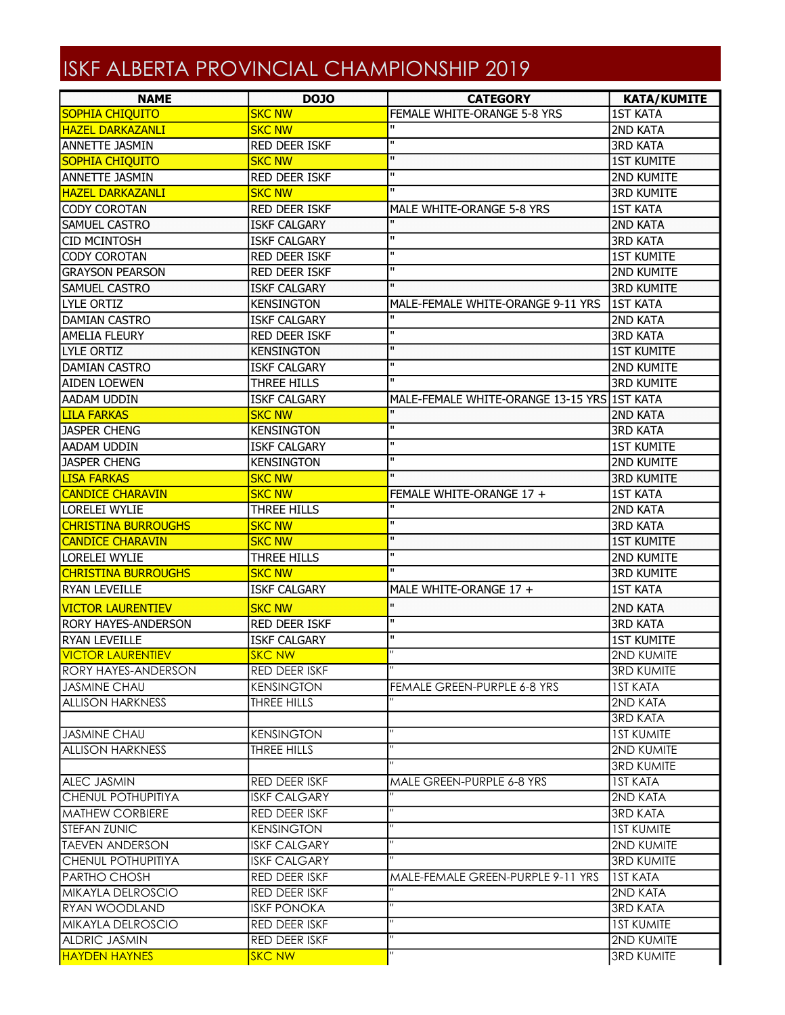## ISKF ALBERTA PROVINCIAL CHAMPIONSHIP 2019

| <b>SKC NW</b><br>FEMALE WHITE-ORANGE 5-8 YRS<br><b>1ST KATA</b><br><b>SKC NW</b><br>2ND KATA<br>$\mathbf{H}$<br>RED DEER ISKF<br><b>3RD KATA</b><br>$\mathbf{H}$<br><b>1ST KUMITE</b><br><b>SOPHIA CHIQUITO</b><br><b>SKC NW</b><br>$\mathbf{H}$<br><b>RED DEER ISKF</b><br><b>2ND KUMITE</b><br>$\mathbf{H}$<br><b>SKC NW</b><br><b>3RD KUMITE</b><br><b>CODY COROTAN</b><br><b>RED DEER ISKF</b><br><b>1ST KATA</b><br>MALE WHITE-ORANGE 5-8 YRS<br>$\mathbf{H}$<br><b>SAMUEL CASTRO</b><br><b>ISKF CALGARY</b><br><b>2ND KATA</b><br>$\mathbf{H}$<br><b>CID MCINTOSH</b><br><b>ISKF CALGARY</b><br><b>3RD KATA</b><br>$\mathbf{u}$<br><b>CODY COROTAN</b><br><b>RED DEER ISKF</b><br><b>1ST KUMITE</b><br>$\mathbf{H}$<br><b>GRAYSON PEARSON</b><br>2ND KUMITE<br><b>RED DEER ISKF</b><br>$\mathbf{u}$<br><b>SAMUEL CASTRO</b><br><b>3RD KUMITE</b><br><b>ISKF CALGARY</b><br>LYLE ORTIZ<br><b>1ST KATA</b><br><b>KENSINGTON</b><br>MALE-FEMALE WHITE-ORANGE 9-11 YRS<br>$\mathbf{u}$<br>2ND KATA<br>DAMIAN CASTRO<br><b>ISKF CALGARY</b><br>$\mathbf{H}$<br><b>AMELIA FLEURY</b><br><b>RED DEER ISKF</b><br><b>3RD KATA</b><br>$\mathbf{H}$<br><b>1ST KUMITE</b><br>LYLE ORTIZ<br><b>KENSINGTON</b><br>$\mathbf{H}$<br><b>DAMIAN CASTRO</b><br><b>ISKF CALGARY</b><br>2ND KUMITE<br>$\mathbf{H}$<br>THREE HILLS<br><b>3RD KUMITE</b><br><b>AIDEN LOEWEN</b><br>MALE-FEMALE WHITE-ORANGE 13-15 YRS 1ST KATA<br>AADAM UDDIN<br><b>ISKF CALGARY</b><br>$\mathbf{H}$<br><b>LILA FARKAS</b><br><b>SKC NW</b><br><b>2ND KATA</b><br>$\mathbf{H}$<br><b>JASPER CHENG</b><br><b>KENSINGTON</b><br><b>3RD KATA</b><br>$\mathbf{H}$<br><b>AADAM UDDIN</b><br><b>ISKF CALGARY</b><br><b>1ST KUMITE</b><br>$\mathbf{H}$<br><b>JASPER CHENG</b><br><b>KENSINGTON</b><br><b>2ND KUMITE</b><br>$\mathbf{H}$<br><b>LISA FARKAS</b><br><b>SKC NW</b><br><b>3RD KUMITE</b><br><b>CANDICE CHARAVIN</b><br><b>SKC NW</b><br>FEMALE WHITE-ORANGE 17 +<br><b>1ST KATA</b><br>$\mathbf{u}$<br><b>LORELEI WYLIE</b><br>THREE HILLS<br>2ND KATA<br>$\mathbf{H}$<br><b>CHRISTINA BURROUGHS</b><br><b>SKC NW</b><br><b>3RD KATA</b><br>$\mathbf{H}$<br><b>CANDICE CHARAVIN</b><br><b>SKC NW</b><br><b>1ST KUMITE</b><br>$\mathbf{H}$<br>LORELEI WYLIE<br>THREE HILLS<br>2ND KUMITE<br>$\mathbf{u}$<br><b>CHRISTINA BURROUGHS</b><br><b>SKC NW</b><br><b>3RD KUMITE</b><br>RYAN LEVEILLE<br><b>ISKF CALGARY</b><br><b>1ST KATA</b><br>MALE WHITE-ORANGE 17 +<br>$\mathbf{u}$<br><b>SKC NW</b><br><b>VICTOR LAURENTIEV</b><br><b>2ND KATA</b><br>$\mathbf{H}$<br><b>RORY HAYES-ANDERSON</b><br><b>RED DEER ISKF</b><br><b>3RD KATA</b><br>$\mathbf{H}$<br><b>RYAN LEVEILLE</b><br><b>ISKF CALGARY</b><br><b>1ST KUMITE</b><br>$\mathbf{H}$<br>2ND KUMITE<br><b>VICTOR LAURENTIEV</b><br><b>SKC NW</b><br><b>RED DEER ISKF</b><br><b>3RD KUMITE</b><br>RORY HAYES-ANDERSON<br><b>JASMINE CHAU</b><br>FEMALE GREEN-PURPLE 6-8 YRS<br><b>IST KATA</b><br><b>KENSINGTON</b><br>2ND KATA<br>THREE HILLS<br><b>3RD KATA</b><br><b>KENSINGTON</b><br><b>IST KUMITE</b><br>2ND KUMITE<br>THREE HILLS<br><b>3RD KUMITE</b><br>RED DEER ISKF<br>MALE GREEN-PURPLE 6-8 YRS<br><b>IST KATA</b><br>2ND KATA<br><b>ISKF CALGARY</b><br>RED DEER ISKF<br><b>3RD KATA</b><br><b>KENSINGTON</b><br><b>IST KUMITE</b><br><b>ISKF CALGARY</b><br>2ND KUMITE<br><b>ISKF CALGARY</b><br><b>3RD KUMITE</b><br>RED DEER ISKF<br>MALE-FEMALE GREEN-PURPLE 9-11 YRS<br><b>IST KATA</b><br>RED DEER ISKF<br>2ND KATA<br>$\mathbf{H}$<br><b>3RD KATA</b><br><b>ISKF PONOKA</b><br>$\mathbf{H}$<br>RED DEER ISKF<br><b>IST KUMITE</b><br>п<br>2ND KUMITE<br>RED DEER ISKF<br>п<br><b>SKC NW</b><br><b>3RD KUMITE</b> | <b>NAME</b>               | <b>DOJO</b> | <b>CATEGORY</b> | <b>KATA/KUMITE</b> |
|-----------------------------------------------------------------------------------------------------------------------------------------------------------------------------------------------------------------------------------------------------------------------------------------------------------------------------------------------------------------------------------------------------------------------------------------------------------------------------------------------------------------------------------------------------------------------------------------------------------------------------------------------------------------------------------------------------------------------------------------------------------------------------------------------------------------------------------------------------------------------------------------------------------------------------------------------------------------------------------------------------------------------------------------------------------------------------------------------------------------------------------------------------------------------------------------------------------------------------------------------------------------------------------------------------------------------------------------------------------------------------------------------------------------------------------------------------------------------------------------------------------------------------------------------------------------------------------------------------------------------------------------------------------------------------------------------------------------------------------------------------------------------------------------------------------------------------------------------------------------------------------------------------------------------------------------------------------------------------------------------------------------------------------------------------------------------------------------------------------------------------------------------------------------------------------------------------------------------------------------------------------------------------------------------------------------------------------------------------------------------------------------------------------------------------------------------------------------------------------------------------------------------------------------------------------------------------------------------------------------------------------------------------------------------------------------------------------------------------------------------------------------------------------------------------------------------------------------------------------------------------------------------------------------------------------------------------------------------------------------------------------------------------------------------------------------------------------------------------------------------------------------------------------------------------------------------------------------------------------------------------------------------------------------------------------------------------------------------------------------------------------------------------------------------------------------------------------------------------------------------------------------------------------------------------------------------------------------------------------------------------------------------------------------|---------------------------|-------------|-----------------|--------------------|
|                                                                                                                                                                                                                                                                                                                                                                                                                                                                                                                                                                                                                                                                                                                                                                                                                                                                                                                                                                                                                                                                                                                                                                                                                                                                                                                                                                                                                                                                                                                                                                                                                                                                                                                                                                                                                                                                                                                                                                                                                                                                                                                                                                                                                                                                                                                                                                                                                                                                                                                                                                                                                                                                                                                                                                                                                                                                                                                                                                                                                                                                                                                                                                                                                                                                                                                                                                                                                                                                                                                                                                                                                                                                 | <b>SOPHIA CHIQUITO</b>    |             |                 |                    |
|                                                                                                                                                                                                                                                                                                                                                                                                                                                                                                                                                                                                                                                                                                                                                                                                                                                                                                                                                                                                                                                                                                                                                                                                                                                                                                                                                                                                                                                                                                                                                                                                                                                                                                                                                                                                                                                                                                                                                                                                                                                                                                                                                                                                                                                                                                                                                                                                                                                                                                                                                                                                                                                                                                                                                                                                                                                                                                                                                                                                                                                                                                                                                                                                                                                                                                                                                                                                                                                                                                                                                                                                                                                                 | <b>HAZEL DARKAZANLI</b>   |             |                 |                    |
|                                                                                                                                                                                                                                                                                                                                                                                                                                                                                                                                                                                                                                                                                                                                                                                                                                                                                                                                                                                                                                                                                                                                                                                                                                                                                                                                                                                                                                                                                                                                                                                                                                                                                                                                                                                                                                                                                                                                                                                                                                                                                                                                                                                                                                                                                                                                                                                                                                                                                                                                                                                                                                                                                                                                                                                                                                                                                                                                                                                                                                                                                                                                                                                                                                                                                                                                                                                                                                                                                                                                                                                                                                                                 | <b>ANNETTE JASMIN</b>     |             |                 |                    |
|                                                                                                                                                                                                                                                                                                                                                                                                                                                                                                                                                                                                                                                                                                                                                                                                                                                                                                                                                                                                                                                                                                                                                                                                                                                                                                                                                                                                                                                                                                                                                                                                                                                                                                                                                                                                                                                                                                                                                                                                                                                                                                                                                                                                                                                                                                                                                                                                                                                                                                                                                                                                                                                                                                                                                                                                                                                                                                                                                                                                                                                                                                                                                                                                                                                                                                                                                                                                                                                                                                                                                                                                                                                                 |                           |             |                 |                    |
|                                                                                                                                                                                                                                                                                                                                                                                                                                                                                                                                                                                                                                                                                                                                                                                                                                                                                                                                                                                                                                                                                                                                                                                                                                                                                                                                                                                                                                                                                                                                                                                                                                                                                                                                                                                                                                                                                                                                                                                                                                                                                                                                                                                                                                                                                                                                                                                                                                                                                                                                                                                                                                                                                                                                                                                                                                                                                                                                                                                                                                                                                                                                                                                                                                                                                                                                                                                                                                                                                                                                                                                                                                                                 | <b>ANNETTE JASMIN</b>     |             |                 |                    |
|                                                                                                                                                                                                                                                                                                                                                                                                                                                                                                                                                                                                                                                                                                                                                                                                                                                                                                                                                                                                                                                                                                                                                                                                                                                                                                                                                                                                                                                                                                                                                                                                                                                                                                                                                                                                                                                                                                                                                                                                                                                                                                                                                                                                                                                                                                                                                                                                                                                                                                                                                                                                                                                                                                                                                                                                                                                                                                                                                                                                                                                                                                                                                                                                                                                                                                                                                                                                                                                                                                                                                                                                                                                                 | <b>HAZEL DARKAZANLI</b>   |             |                 |                    |
|                                                                                                                                                                                                                                                                                                                                                                                                                                                                                                                                                                                                                                                                                                                                                                                                                                                                                                                                                                                                                                                                                                                                                                                                                                                                                                                                                                                                                                                                                                                                                                                                                                                                                                                                                                                                                                                                                                                                                                                                                                                                                                                                                                                                                                                                                                                                                                                                                                                                                                                                                                                                                                                                                                                                                                                                                                                                                                                                                                                                                                                                                                                                                                                                                                                                                                                                                                                                                                                                                                                                                                                                                                                                 |                           |             |                 |                    |
|                                                                                                                                                                                                                                                                                                                                                                                                                                                                                                                                                                                                                                                                                                                                                                                                                                                                                                                                                                                                                                                                                                                                                                                                                                                                                                                                                                                                                                                                                                                                                                                                                                                                                                                                                                                                                                                                                                                                                                                                                                                                                                                                                                                                                                                                                                                                                                                                                                                                                                                                                                                                                                                                                                                                                                                                                                                                                                                                                                                                                                                                                                                                                                                                                                                                                                                                                                                                                                                                                                                                                                                                                                                                 |                           |             |                 |                    |
|                                                                                                                                                                                                                                                                                                                                                                                                                                                                                                                                                                                                                                                                                                                                                                                                                                                                                                                                                                                                                                                                                                                                                                                                                                                                                                                                                                                                                                                                                                                                                                                                                                                                                                                                                                                                                                                                                                                                                                                                                                                                                                                                                                                                                                                                                                                                                                                                                                                                                                                                                                                                                                                                                                                                                                                                                                                                                                                                                                                                                                                                                                                                                                                                                                                                                                                                                                                                                                                                                                                                                                                                                                                                 |                           |             |                 |                    |
|                                                                                                                                                                                                                                                                                                                                                                                                                                                                                                                                                                                                                                                                                                                                                                                                                                                                                                                                                                                                                                                                                                                                                                                                                                                                                                                                                                                                                                                                                                                                                                                                                                                                                                                                                                                                                                                                                                                                                                                                                                                                                                                                                                                                                                                                                                                                                                                                                                                                                                                                                                                                                                                                                                                                                                                                                                                                                                                                                                                                                                                                                                                                                                                                                                                                                                                                                                                                                                                                                                                                                                                                                                                                 |                           |             |                 |                    |
|                                                                                                                                                                                                                                                                                                                                                                                                                                                                                                                                                                                                                                                                                                                                                                                                                                                                                                                                                                                                                                                                                                                                                                                                                                                                                                                                                                                                                                                                                                                                                                                                                                                                                                                                                                                                                                                                                                                                                                                                                                                                                                                                                                                                                                                                                                                                                                                                                                                                                                                                                                                                                                                                                                                                                                                                                                                                                                                                                                                                                                                                                                                                                                                                                                                                                                                                                                                                                                                                                                                                                                                                                                                                 |                           |             |                 |                    |
|                                                                                                                                                                                                                                                                                                                                                                                                                                                                                                                                                                                                                                                                                                                                                                                                                                                                                                                                                                                                                                                                                                                                                                                                                                                                                                                                                                                                                                                                                                                                                                                                                                                                                                                                                                                                                                                                                                                                                                                                                                                                                                                                                                                                                                                                                                                                                                                                                                                                                                                                                                                                                                                                                                                                                                                                                                                                                                                                                                                                                                                                                                                                                                                                                                                                                                                                                                                                                                                                                                                                                                                                                                                                 |                           |             |                 |                    |
|                                                                                                                                                                                                                                                                                                                                                                                                                                                                                                                                                                                                                                                                                                                                                                                                                                                                                                                                                                                                                                                                                                                                                                                                                                                                                                                                                                                                                                                                                                                                                                                                                                                                                                                                                                                                                                                                                                                                                                                                                                                                                                                                                                                                                                                                                                                                                                                                                                                                                                                                                                                                                                                                                                                                                                                                                                                                                                                                                                                                                                                                                                                                                                                                                                                                                                                                                                                                                                                                                                                                                                                                                                                                 |                           |             |                 |                    |
|                                                                                                                                                                                                                                                                                                                                                                                                                                                                                                                                                                                                                                                                                                                                                                                                                                                                                                                                                                                                                                                                                                                                                                                                                                                                                                                                                                                                                                                                                                                                                                                                                                                                                                                                                                                                                                                                                                                                                                                                                                                                                                                                                                                                                                                                                                                                                                                                                                                                                                                                                                                                                                                                                                                                                                                                                                                                                                                                                                                                                                                                                                                                                                                                                                                                                                                                                                                                                                                                                                                                                                                                                                                                 |                           |             |                 |                    |
|                                                                                                                                                                                                                                                                                                                                                                                                                                                                                                                                                                                                                                                                                                                                                                                                                                                                                                                                                                                                                                                                                                                                                                                                                                                                                                                                                                                                                                                                                                                                                                                                                                                                                                                                                                                                                                                                                                                                                                                                                                                                                                                                                                                                                                                                                                                                                                                                                                                                                                                                                                                                                                                                                                                                                                                                                                                                                                                                                                                                                                                                                                                                                                                                                                                                                                                                                                                                                                                                                                                                                                                                                                                                 |                           |             |                 |                    |
|                                                                                                                                                                                                                                                                                                                                                                                                                                                                                                                                                                                                                                                                                                                                                                                                                                                                                                                                                                                                                                                                                                                                                                                                                                                                                                                                                                                                                                                                                                                                                                                                                                                                                                                                                                                                                                                                                                                                                                                                                                                                                                                                                                                                                                                                                                                                                                                                                                                                                                                                                                                                                                                                                                                                                                                                                                                                                                                                                                                                                                                                                                                                                                                                                                                                                                                                                                                                                                                                                                                                                                                                                                                                 |                           |             |                 |                    |
|                                                                                                                                                                                                                                                                                                                                                                                                                                                                                                                                                                                                                                                                                                                                                                                                                                                                                                                                                                                                                                                                                                                                                                                                                                                                                                                                                                                                                                                                                                                                                                                                                                                                                                                                                                                                                                                                                                                                                                                                                                                                                                                                                                                                                                                                                                                                                                                                                                                                                                                                                                                                                                                                                                                                                                                                                                                                                                                                                                                                                                                                                                                                                                                                                                                                                                                                                                                                                                                                                                                                                                                                                                                                 |                           |             |                 |                    |
|                                                                                                                                                                                                                                                                                                                                                                                                                                                                                                                                                                                                                                                                                                                                                                                                                                                                                                                                                                                                                                                                                                                                                                                                                                                                                                                                                                                                                                                                                                                                                                                                                                                                                                                                                                                                                                                                                                                                                                                                                                                                                                                                                                                                                                                                                                                                                                                                                                                                                                                                                                                                                                                                                                                                                                                                                                                                                                                                                                                                                                                                                                                                                                                                                                                                                                                                                                                                                                                                                                                                                                                                                                                                 |                           |             |                 |                    |
|                                                                                                                                                                                                                                                                                                                                                                                                                                                                                                                                                                                                                                                                                                                                                                                                                                                                                                                                                                                                                                                                                                                                                                                                                                                                                                                                                                                                                                                                                                                                                                                                                                                                                                                                                                                                                                                                                                                                                                                                                                                                                                                                                                                                                                                                                                                                                                                                                                                                                                                                                                                                                                                                                                                                                                                                                                                                                                                                                                                                                                                                                                                                                                                                                                                                                                                                                                                                                                                                                                                                                                                                                                                                 |                           |             |                 |                    |
|                                                                                                                                                                                                                                                                                                                                                                                                                                                                                                                                                                                                                                                                                                                                                                                                                                                                                                                                                                                                                                                                                                                                                                                                                                                                                                                                                                                                                                                                                                                                                                                                                                                                                                                                                                                                                                                                                                                                                                                                                                                                                                                                                                                                                                                                                                                                                                                                                                                                                                                                                                                                                                                                                                                                                                                                                                                                                                                                                                                                                                                                                                                                                                                                                                                                                                                                                                                                                                                                                                                                                                                                                                                                 |                           |             |                 |                    |
|                                                                                                                                                                                                                                                                                                                                                                                                                                                                                                                                                                                                                                                                                                                                                                                                                                                                                                                                                                                                                                                                                                                                                                                                                                                                                                                                                                                                                                                                                                                                                                                                                                                                                                                                                                                                                                                                                                                                                                                                                                                                                                                                                                                                                                                                                                                                                                                                                                                                                                                                                                                                                                                                                                                                                                                                                                                                                                                                                                                                                                                                                                                                                                                                                                                                                                                                                                                                                                                                                                                                                                                                                                                                 |                           |             |                 |                    |
|                                                                                                                                                                                                                                                                                                                                                                                                                                                                                                                                                                                                                                                                                                                                                                                                                                                                                                                                                                                                                                                                                                                                                                                                                                                                                                                                                                                                                                                                                                                                                                                                                                                                                                                                                                                                                                                                                                                                                                                                                                                                                                                                                                                                                                                                                                                                                                                                                                                                                                                                                                                                                                                                                                                                                                                                                                                                                                                                                                                                                                                                                                                                                                                                                                                                                                                                                                                                                                                                                                                                                                                                                                                                 |                           |             |                 |                    |
|                                                                                                                                                                                                                                                                                                                                                                                                                                                                                                                                                                                                                                                                                                                                                                                                                                                                                                                                                                                                                                                                                                                                                                                                                                                                                                                                                                                                                                                                                                                                                                                                                                                                                                                                                                                                                                                                                                                                                                                                                                                                                                                                                                                                                                                                                                                                                                                                                                                                                                                                                                                                                                                                                                                                                                                                                                                                                                                                                                                                                                                                                                                                                                                                                                                                                                                                                                                                                                                                                                                                                                                                                                                                 |                           |             |                 |                    |
|                                                                                                                                                                                                                                                                                                                                                                                                                                                                                                                                                                                                                                                                                                                                                                                                                                                                                                                                                                                                                                                                                                                                                                                                                                                                                                                                                                                                                                                                                                                                                                                                                                                                                                                                                                                                                                                                                                                                                                                                                                                                                                                                                                                                                                                                                                                                                                                                                                                                                                                                                                                                                                                                                                                                                                                                                                                                                                                                                                                                                                                                                                                                                                                                                                                                                                                                                                                                                                                                                                                                                                                                                                                                 |                           |             |                 |                    |
|                                                                                                                                                                                                                                                                                                                                                                                                                                                                                                                                                                                                                                                                                                                                                                                                                                                                                                                                                                                                                                                                                                                                                                                                                                                                                                                                                                                                                                                                                                                                                                                                                                                                                                                                                                                                                                                                                                                                                                                                                                                                                                                                                                                                                                                                                                                                                                                                                                                                                                                                                                                                                                                                                                                                                                                                                                                                                                                                                                                                                                                                                                                                                                                                                                                                                                                                                                                                                                                                                                                                                                                                                                                                 |                           |             |                 |                    |
|                                                                                                                                                                                                                                                                                                                                                                                                                                                                                                                                                                                                                                                                                                                                                                                                                                                                                                                                                                                                                                                                                                                                                                                                                                                                                                                                                                                                                                                                                                                                                                                                                                                                                                                                                                                                                                                                                                                                                                                                                                                                                                                                                                                                                                                                                                                                                                                                                                                                                                                                                                                                                                                                                                                                                                                                                                                                                                                                                                                                                                                                                                                                                                                                                                                                                                                                                                                                                                                                                                                                                                                                                                                                 |                           |             |                 |                    |
|                                                                                                                                                                                                                                                                                                                                                                                                                                                                                                                                                                                                                                                                                                                                                                                                                                                                                                                                                                                                                                                                                                                                                                                                                                                                                                                                                                                                                                                                                                                                                                                                                                                                                                                                                                                                                                                                                                                                                                                                                                                                                                                                                                                                                                                                                                                                                                                                                                                                                                                                                                                                                                                                                                                                                                                                                                                                                                                                                                                                                                                                                                                                                                                                                                                                                                                                                                                                                                                                                                                                                                                                                                                                 |                           |             |                 |                    |
|                                                                                                                                                                                                                                                                                                                                                                                                                                                                                                                                                                                                                                                                                                                                                                                                                                                                                                                                                                                                                                                                                                                                                                                                                                                                                                                                                                                                                                                                                                                                                                                                                                                                                                                                                                                                                                                                                                                                                                                                                                                                                                                                                                                                                                                                                                                                                                                                                                                                                                                                                                                                                                                                                                                                                                                                                                                                                                                                                                                                                                                                                                                                                                                                                                                                                                                                                                                                                                                                                                                                                                                                                                                                 |                           |             |                 |                    |
|                                                                                                                                                                                                                                                                                                                                                                                                                                                                                                                                                                                                                                                                                                                                                                                                                                                                                                                                                                                                                                                                                                                                                                                                                                                                                                                                                                                                                                                                                                                                                                                                                                                                                                                                                                                                                                                                                                                                                                                                                                                                                                                                                                                                                                                                                                                                                                                                                                                                                                                                                                                                                                                                                                                                                                                                                                                                                                                                                                                                                                                                                                                                                                                                                                                                                                                                                                                                                                                                                                                                                                                                                                                                 |                           |             |                 |                    |
|                                                                                                                                                                                                                                                                                                                                                                                                                                                                                                                                                                                                                                                                                                                                                                                                                                                                                                                                                                                                                                                                                                                                                                                                                                                                                                                                                                                                                                                                                                                                                                                                                                                                                                                                                                                                                                                                                                                                                                                                                                                                                                                                                                                                                                                                                                                                                                                                                                                                                                                                                                                                                                                                                                                                                                                                                                                                                                                                                                                                                                                                                                                                                                                                                                                                                                                                                                                                                                                                                                                                                                                                                                                                 |                           |             |                 |                    |
|                                                                                                                                                                                                                                                                                                                                                                                                                                                                                                                                                                                                                                                                                                                                                                                                                                                                                                                                                                                                                                                                                                                                                                                                                                                                                                                                                                                                                                                                                                                                                                                                                                                                                                                                                                                                                                                                                                                                                                                                                                                                                                                                                                                                                                                                                                                                                                                                                                                                                                                                                                                                                                                                                                                                                                                                                                                                                                                                                                                                                                                                                                                                                                                                                                                                                                                                                                                                                                                                                                                                                                                                                                                                 |                           |             |                 |                    |
|                                                                                                                                                                                                                                                                                                                                                                                                                                                                                                                                                                                                                                                                                                                                                                                                                                                                                                                                                                                                                                                                                                                                                                                                                                                                                                                                                                                                                                                                                                                                                                                                                                                                                                                                                                                                                                                                                                                                                                                                                                                                                                                                                                                                                                                                                                                                                                                                                                                                                                                                                                                                                                                                                                                                                                                                                                                                                                                                                                                                                                                                                                                                                                                                                                                                                                                                                                                                                                                                                                                                                                                                                                                                 |                           |             |                 |                    |
|                                                                                                                                                                                                                                                                                                                                                                                                                                                                                                                                                                                                                                                                                                                                                                                                                                                                                                                                                                                                                                                                                                                                                                                                                                                                                                                                                                                                                                                                                                                                                                                                                                                                                                                                                                                                                                                                                                                                                                                                                                                                                                                                                                                                                                                                                                                                                                                                                                                                                                                                                                                                                                                                                                                                                                                                                                                                                                                                                                                                                                                                                                                                                                                                                                                                                                                                                                                                                                                                                                                                                                                                                                                                 |                           |             |                 |                    |
|                                                                                                                                                                                                                                                                                                                                                                                                                                                                                                                                                                                                                                                                                                                                                                                                                                                                                                                                                                                                                                                                                                                                                                                                                                                                                                                                                                                                                                                                                                                                                                                                                                                                                                                                                                                                                                                                                                                                                                                                                                                                                                                                                                                                                                                                                                                                                                                                                                                                                                                                                                                                                                                                                                                                                                                                                                                                                                                                                                                                                                                                                                                                                                                                                                                                                                                                                                                                                                                                                                                                                                                                                                                                 |                           |             |                 |                    |
|                                                                                                                                                                                                                                                                                                                                                                                                                                                                                                                                                                                                                                                                                                                                                                                                                                                                                                                                                                                                                                                                                                                                                                                                                                                                                                                                                                                                                                                                                                                                                                                                                                                                                                                                                                                                                                                                                                                                                                                                                                                                                                                                                                                                                                                                                                                                                                                                                                                                                                                                                                                                                                                                                                                                                                                                                                                                                                                                                                                                                                                                                                                                                                                                                                                                                                                                                                                                                                                                                                                                                                                                                                                                 |                           |             |                 |                    |
|                                                                                                                                                                                                                                                                                                                                                                                                                                                                                                                                                                                                                                                                                                                                                                                                                                                                                                                                                                                                                                                                                                                                                                                                                                                                                                                                                                                                                                                                                                                                                                                                                                                                                                                                                                                                                                                                                                                                                                                                                                                                                                                                                                                                                                                                                                                                                                                                                                                                                                                                                                                                                                                                                                                                                                                                                                                                                                                                                                                                                                                                                                                                                                                                                                                                                                                                                                                                                                                                                                                                                                                                                                                                 |                           |             |                 |                    |
|                                                                                                                                                                                                                                                                                                                                                                                                                                                                                                                                                                                                                                                                                                                                                                                                                                                                                                                                                                                                                                                                                                                                                                                                                                                                                                                                                                                                                                                                                                                                                                                                                                                                                                                                                                                                                                                                                                                                                                                                                                                                                                                                                                                                                                                                                                                                                                                                                                                                                                                                                                                                                                                                                                                                                                                                                                                                                                                                                                                                                                                                                                                                                                                                                                                                                                                                                                                                                                                                                                                                                                                                                                                                 |                           |             |                 |                    |
|                                                                                                                                                                                                                                                                                                                                                                                                                                                                                                                                                                                                                                                                                                                                                                                                                                                                                                                                                                                                                                                                                                                                                                                                                                                                                                                                                                                                                                                                                                                                                                                                                                                                                                                                                                                                                                                                                                                                                                                                                                                                                                                                                                                                                                                                                                                                                                                                                                                                                                                                                                                                                                                                                                                                                                                                                                                                                                                                                                                                                                                                                                                                                                                                                                                                                                                                                                                                                                                                                                                                                                                                                                                                 |                           |             |                 |                    |
|                                                                                                                                                                                                                                                                                                                                                                                                                                                                                                                                                                                                                                                                                                                                                                                                                                                                                                                                                                                                                                                                                                                                                                                                                                                                                                                                                                                                                                                                                                                                                                                                                                                                                                                                                                                                                                                                                                                                                                                                                                                                                                                                                                                                                                                                                                                                                                                                                                                                                                                                                                                                                                                                                                                                                                                                                                                                                                                                                                                                                                                                                                                                                                                                                                                                                                                                                                                                                                                                                                                                                                                                                                                                 | <b>ALLISON HARKNESS</b>   |             |                 |                    |
|                                                                                                                                                                                                                                                                                                                                                                                                                                                                                                                                                                                                                                                                                                                                                                                                                                                                                                                                                                                                                                                                                                                                                                                                                                                                                                                                                                                                                                                                                                                                                                                                                                                                                                                                                                                                                                                                                                                                                                                                                                                                                                                                                                                                                                                                                                                                                                                                                                                                                                                                                                                                                                                                                                                                                                                                                                                                                                                                                                                                                                                                                                                                                                                                                                                                                                                                                                                                                                                                                                                                                                                                                                                                 |                           |             |                 |                    |
|                                                                                                                                                                                                                                                                                                                                                                                                                                                                                                                                                                                                                                                                                                                                                                                                                                                                                                                                                                                                                                                                                                                                                                                                                                                                                                                                                                                                                                                                                                                                                                                                                                                                                                                                                                                                                                                                                                                                                                                                                                                                                                                                                                                                                                                                                                                                                                                                                                                                                                                                                                                                                                                                                                                                                                                                                                                                                                                                                                                                                                                                                                                                                                                                                                                                                                                                                                                                                                                                                                                                                                                                                                                                 | <b>JASMINE CHAU</b>       |             |                 |                    |
|                                                                                                                                                                                                                                                                                                                                                                                                                                                                                                                                                                                                                                                                                                                                                                                                                                                                                                                                                                                                                                                                                                                                                                                                                                                                                                                                                                                                                                                                                                                                                                                                                                                                                                                                                                                                                                                                                                                                                                                                                                                                                                                                                                                                                                                                                                                                                                                                                                                                                                                                                                                                                                                                                                                                                                                                                                                                                                                                                                                                                                                                                                                                                                                                                                                                                                                                                                                                                                                                                                                                                                                                                                                                 | <b>ALLISON HARKNESS</b>   |             |                 |                    |
|                                                                                                                                                                                                                                                                                                                                                                                                                                                                                                                                                                                                                                                                                                                                                                                                                                                                                                                                                                                                                                                                                                                                                                                                                                                                                                                                                                                                                                                                                                                                                                                                                                                                                                                                                                                                                                                                                                                                                                                                                                                                                                                                                                                                                                                                                                                                                                                                                                                                                                                                                                                                                                                                                                                                                                                                                                                                                                                                                                                                                                                                                                                                                                                                                                                                                                                                                                                                                                                                                                                                                                                                                                                                 |                           |             |                 |                    |
|                                                                                                                                                                                                                                                                                                                                                                                                                                                                                                                                                                                                                                                                                                                                                                                                                                                                                                                                                                                                                                                                                                                                                                                                                                                                                                                                                                                                                                                                                                                                                                                                                                                                                                                                                                                                                                                                                                                                                                                                                                                                                                                                                                                                                                                                                                                                                                                                                                                                                                                                                                                                                                                                                                                                                                                                                                                                                                                                                                                                                                                                                                                                                                                                                                                                                                                                                                                                                                                                                                                                                                                                                                                                 | <b>ALEC JASMIN</b>        |             |                 |                    |
|                                                                                                                                                                                                                                                                                                                                                                                                                                                                                                                                                                                                                                                                                                                                                                                                                                                                                                                                                                                                                                                                                                                                                                                                                                                                                                                                                                                                                                                                                                                                                                                                                                                                                                                                                                                                                                                                                                                                                                                                                                                                                                                                                                                                                                                                                                                                                                                                                                                                                                                                                                                                                                                                                                                                                                                                                                                                                                                                                                                                                                                                                                                                                                                                                                                                                                                                                                                                                                                                                                                                                                                                                                                                 | <b>CHENUL POTHUPITIYA</b> |             |                 |                    |
|                                                                                                                                                                                                                                                                                                                                                                                                                                                                                                                                                                                                                                                                                                                                                                                                                                                                                                                                                                                                                                                                                                                                                                                                                                                                                                                                                                                                                                                                                                                                                                                                                                                                                                                                                                                                                                                                                                                                                                                                                                                                                                                                                                                                                                                                                                                                                                                                                                                                                                                                                                                                                                                                                                                                                                                                                                                                                                                                                                                                                                                                                                                                                                                                                                                                                                                                                                                                                                                                                                                                                                                                                                                                 | <b>MATHEW CORBIERE</b>    |             |                 |                    |
|                                                                                                                                                                                                                                                                                                                                                                                                                                                                                                                                                                                                                                                                                                                                                                                                                                                                                                                                                                                                                                                                                                                                                                                                                                                                                                                                                                                                                                                                                                                                                                                                                                                                                                                                                                                                                                                                                                                                                                                                                                                                                                                                                                                                                                                                                                                                                                                                                                                                                                                                                                                                                                                                                                                                                                                                                                                                                                                                                                                                                                                                                                                                                                                                                                                                                                                                                                                                                                                                                                                                                                                                                                                                 | <b>STEFAN ZUNIC</b>       |             |                 |                    |
|                                                                                                                                                                                                                                                                                                                                                                                                                                                                                                                                                                                                                                                                                                                                                                                                                                                                                                                                                                                                                                                                                                                                                                                                                                                                                                                                                                                                                                                                                                                                                                                                                                                                                                                                                                                                                                                                                                                                                                                                                                                                                                                                                                                                                                                                                                                                                                                                                                                                                                                                                                                                                                                                                                                                                                                                                                                                                                                                                                                                                                                                                                                                                                                                                                                                                                                                                                                                                                                                                                                                                                                                                                                                 | Itaeven anderson          |             |                 |                    |
|                                                                                                                                                                                                                                                                                                                                                                                                                                                                                                                                                                                                                                                                                                                                                                                                                                                                                                                                                                                                                                                                                                                                                                                                                                                                                                                                                                                                                                                                                                                                                                                                                                                                                                                                                                                                                                                                                                                                                                                                                                                                                                                                                                                                                                                                                                                                                                                                                                                                                                                                                                                                                                                                                                                                                                                                                                                                                                                                                                                                                                                                                                                                                                                                                                                                                                                                                                                                                                                                                                                                                                                                                                                                 | <b>CHENUL POTHUPITIYA</b> |             |                 |                    |
|                                                                                                                                                                                                                                                                                                                                                                                                                                                                                                                                                                                                                                                                                                                                                                                                                                                                                                                                                                                                                                                                                                                                                                                                                                                                                                                                                                                                                                                                                                                                                                                                                                                                                                                                                                                                                                                                                                                                                                                                                                                                                                                                                                                                                                                                                                                                                                                                                                                                                                                                                                                                                                                                                                                                                                                                                                                                                                                                                                                                                                                                                                                                                                                                                                                                                                                                                                                                                                                                                                                                                                                                                                                                 | <b>PARTHO CHOSH</b>       |             |                 |                    |
|                                                                                                                                                                                                                                                                                                                                                                                                                                                                                                                                                                                                                                                                                                                                                                                                                                                                                                                                                                                                                                                                                                                                                                                                                                                                                                                                                                                                                                                                                                                                                                                                                                                                                                                                                                                                                                                                                                                                                                                                                                                                                                                                                                                                                                                                                                                                                                                                                                                                                                                                                                                                                                                                                                                                                                                                                                                                                                                                                                                                                                                                                                                                                                                                                                                                                                                                                                                                                                                                                                                                                                                                                                                                 | <b>MIKAYLA DELROSCIO</b>  |             |                 |                    |
|                                                                                                                                                                                                                                                                                                                                                                                                                                                                                                                                                                                                                                                                                                                                                                                                                                                                                                                                                                                                                                                                                                                                                                                                                                                                                                                                                                                                                                                                                                                                                                                                                                                                                                                                                                                                                                                                                                                                                                                                                                                                                                                                                                                                                                                                                                                                                                                                                                                                                                                                                                                                                                                                                                                                                                                                                                                                                                                                                                                                                                                                                                                                                                                                                                                                                                                                                                                                                                                                                                                                                                                                                                                                 | <b>RYAN WOODLAND</b>      |             |                 |                    |
|                                                                                                                                                                                                                                                                                                                                                                                                                                                                                                                                                                                                                                                                                                                                                                                                                                                                                                                                                                                                                                                                                                                                                                                                                                                                                                                                                                                                                                                                                                                                                                                                                                                                                                                                                                                                                                                                                                                                                                                                                                                                                                                                                                                                                                                                                                                                                                                                                                                                                                                                                                                                                                                                                                                                                                                                                                                                                                                                                                                                                                                                                                                                                                                                                                                                                                                                                                                                                                                                                                                                                                                                                                                                 | <b>MIKAYLA DELROSCIO</b>  |             |                 |                    |
|                                                                                                                                                                                                                                                                                                                                                                                                                                                                                                                                                                                                                                                                                                                                                                                                                                                                                                                                                                                                                                                                                                                                                                                                                                                                                                                                                                                                                                                                                                                                                                                                                                                                                                                                                                                                                                                                                                                                                                                                                                                                                                                                                                                                                                                                                                                                                                                                                                                                                                                                                                                                                                                                                                                                                                                                                                                                                                                                                                                                                                                                                                                                                                                                                                                                                                                                                                                                                                                                                                                                                                                                                                                                 | <b>ALDRIC JASMIN</b>      |             |                 |                    |
|                                                                                                                                                                                                                                                                                                                                                                                                                                                                                                                                                                                                                                                                                                                                                                                                                                                                                                                                                                                                                                                                                                                                                                                                                                                                                                                                                                                                                                                                                                                                                                                                                                                                                                                                                                                                                                                                                                                                                                                                                                                                                                                                                                                                                                                                                                                                                                                                                                                                                                                                                                                                                                                                                                                                                                                                                                                                                                                                                                                                                                                                                                                                                                                                                                                                                                                                                                                                                                                                                                                                                                                                                                                                 | <b>HAYDEN HAYNES</b>      |             |                 |                    |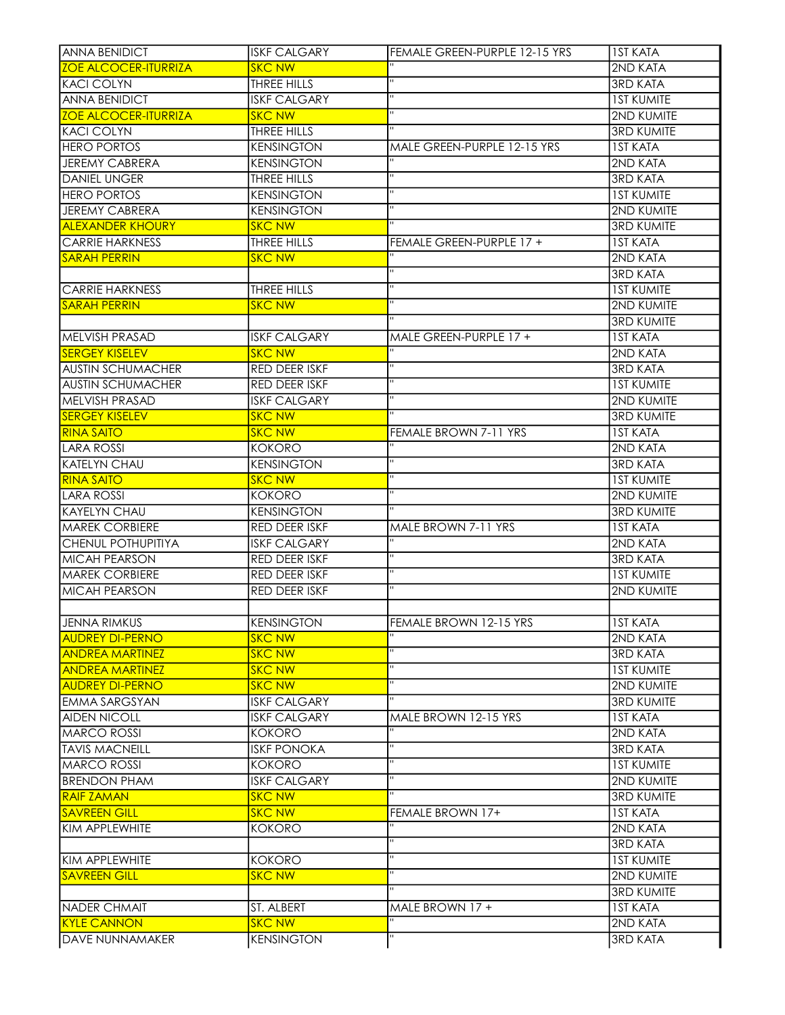| <b>SKC NW</b><br>2ND KATA<br>$\overline{\mathbf{u}}$<br>THREE HILLS<br><b>3RD KATA</b><br>$\blacksquare$<br><b>ANNA BENIDICT</b><br><b>ISKF CALGARY</b><br><b>IST KUMITE</b><br>$\mathbf{H}$<br>2ND KUMITE<br><b>SKC NW</b><br>$\mathbf{H}$<br><b>3RD KUMITE</b><br>THREE HILLS<br><b>KENSINGTON</b><br><b>IST KATA</b><br>MALE GREEN-PURPLE 12-15 YRS<br><b>JEREMY CABRERA</b><br><b>KENSINGTON</b><br>2ND KATA<br>THREE HILLS<br><b>3RD KATA</b><br>$\mathbf{H}$<br><b>IST KUMITE</b><br><b>KENSINGTON</b><br>$\mathbf H$<br><b>KENSINGTON</b><br>2ND KUMITE<br>$\mathbf{H}$<br><b>3RD KUMITE</b><br><b>SKC NW</b><br>THREE HILLS<br><b>IST KATA</b><br>FEMALE GREEN-PURPLE 17 +<br><b>SKC NW</b><br>2ND KATA<br>$\mathbf{H}$<br><b>3RD KATA</b><br>$\mathbf{H}$<br>THREE HILLS<br><b>IST KUMITE</b><br>$\mathbf{H}$<br><b>SKC NW</b><br>2ND KUMITE<br><b>3RD KUMITE</b><br>MELVISH PRASAD<br><b>ISKF CALGARY</b><br><b>IST KATA</b><br>MALE GREEN-PURPLE 17 +<br>π<br><b>SERGEY KISELEV</b><br><b>SKC NW</b><br>2ND KATA<br>$\mathbf{H}$<br><b>AUSTIN SCHUMACHER</b><br><b>3RD KATA</b><br>RED DEER ISKF<br>$\mathbf{H}$<br><b>AUSTIN SCHUMACHER</b><br>RED DEER ISKF<br><b>IST KUMITE</b><br>$\mathbf{H}$<br>MELVISH PRASAD<br><b>ISKF CALGARY</b><br>2ND KUMITE<br><b>SERGEY KISELEV</b><br><b>SKC NW</b><br><b>3RD KUMITE</b><br>FEMALE BROWN 7-11 YRS<br><b>IST KATA</b><br><b>RINA SAITO</b><br><b>SKC NW</b><br>2ND KATA<br>LARA ROSSI<br><b>KOKORO</b><br>$\mathbf{H}$<br><b>KATELYN CHAU</b><br><b>KENSINGTON</b><br><b>3RD KATA</b><br>$\mathbf{H}$<br><b>RINA SAITO</b><br><b>SKC NW</b><br><b>IST KUMITE</b><br>$\blacksquare$<br><b>LARA ROSSI</b><br>2ND KUMITE<br>KOKORO<br>$\blacksquare$<br><b>KAYELYN CHAU</b><br><b>KENSINGTON</b><br><b>3RD KUMITE</b><br><b>MAREK CORBIERE</b><br><b>RED DEER ISKF</b><br>MALE BROWN 7-11 YRS<br><b>IST KATA</b><br>π<br><b>CHENUL POTHUPITIYA</b><br><b>ISKF CALGARY</b><br>2ND KATA<br>$\mathbf{H}$<br><b>MICAH PEARSON</b><br>RED DEER ISKF<br><b>3RD KATA</b><br>$\mathbf{H}$<br><b>MAREK CORBIERE</b><br><b>IST KUMITE</b><br>RED DEER ISKF<br>$\mathbf{H}$<br>RED DEER ISKF<br><b>2ND KUMITE</b><br>JENNA RIMKUS<br>FEMALE BROWN 12-15 YRS<br><b>KENSINGTON</b><br><b>IST KATA</b><br>2ND KATA<br><b>AUDREY DI-PERNO</b><br><b>SKC NW</b><br>п<br><b>SKC NW</b><br><b>ANDREA MARTINEZ</b><br><b>3RD KATA</b><br>π<br><b>ANDREA MARTINEZ</b><br><b>SKC NW</b><br><b>1ST KUMITE</b><br>$\mathbf H$<br><b>SKC NW</b><br><b>2ND KUMITE</b><br><b>ISKF CALGARY</b><br><b>3RD KUMITE</b><br><b>ISKF CALGARY</b><br>MALE BROWN 12-15 YRS<br><b>IST KATA</b><br>2ND KATA<br>KOKORO<br>$\mathbf{H}$<br><b>3RD KATA</b><br><b>ISKF PONOKA</b><br>$\mathbf{H}$<br><b>IST KUMITE</b><br><b>KOKORO</b><br>$\mathbf{H}$<br>2ND KUMITE<br><b>BRENDON PHAM</b><br><b>ISKF CALGARY</b><br>$\overline{u}$<br><b>SKC NW</b><br><b>3RD KUMITE</b><br><b>RAIF ZAMAN</b><br><b>SAVREEN GILL</b><br><b>SKC NW</b><br><b>IST KATA</b><br>FEMALE BROWN 17+<br>Ξ<br>2ND KATA<br><b>KOKORO</b><br>$\mathbf{H}$<br><b>3RD KATA</b><br>$\mathbf{H}$<br><b>IST KUMITE</b><br>KOKORO<br>π<br>2ND KUMITE<br><b>SKC NW</b><br>$\blacksquare$<br><b>3RD KUMITE</b> | IANNA BENIDICT              | <b>ISKF CALGARY</b> | FEMALE GREEN-PURPLE 12-15 YRS | <b>IST KATA</b> |
|-----------------------------------------------------------------------------------------------------------------------------------------------------------------------------------------------------------------------------------------------------------------------------------------------------------------------------------------------------------------------------------------------------------------------------------------------------------------------------------------------------------------------------------------------------------------------------------------------------------------------------------------------------------------------------------------------------------------------------------------------------------------------------------------------------------------------------------------------------------------------------------------------------------------------------------------------------------------------------------------------------------------------------------------------------------------------------------------------------------------------------------------------------------------------------------------------------------------------------------------------------------------------------------------------------------------------------------------------------------------------------------------------------------------------------------------------------------------------------------------------------------------------------------------------------------------------------------------------------------------------------------------------------------------------------------------------------------------------------------------------------------------------------------------------------------------------------------------------------------------------------------------------------------------------------------------------------------------------------------------------------------------------------------------------------------------------------------------------------------------------------------------------------------------------------------------------------------------------------------------------------------------------------------------------------------------------------------------------------------------------------------------------------------------------------------------------------------------------------------------------------------------------------------------------------------------------------------------------------------------------------------------------------------------------------------------------------------------------------------------------------------------------------------------------------------------------------------------------------------------------------------------------------------------------------------------------------------------------------------------------------------------------------------------------------------------------------------------------------------------------------------------------------------------------------------------------|-----------------------------|---------------------|-------------------------------|-----------------|
|                                                                                                                                                                                                                                                                                                                                                                                                                                                                                                                                                                                                                                                                                                                                                                                                                                                                                                                                                                                                                                                                                                                                                                                                                                                                                                                                                                                                                                                                                                                                                                                                                                                                                                                                                                                                                                                                                                                                                                                                                                                                                                                                                                                                                                                                                                                                                                                                                                                                                                                                                                                                                                                                                                                                                                                                                                                                                                                                                                                                                                                                                                                                                                                               | <b>ZOE ALCOCER-ITURRIZA</b> |                     |                               |                 |
|                                                                                                                                                                                                                                                                                                                                                                                                                                                                                                                                                                                                                                                                                                                                                                                                                                                                                                                                                                                                                                                                                                                                                                                                                                                                                                                                                                                                                                                                                                                                                                                                                                                                                                                                                                                                                                                                                                                                                                                                                                                                                                                                                                                                                                                                                                                                                                                                                                                                                                                                                                                                                                                                                                                                                                                                                                                                                                                                                                                                                                                                                                                                                                                               | <b>KACI COLYN</b>           |                     |                               |                 |
|                                                                                                                                                                                                                                                                                                                                                                                                                                                                                                                                                                                                                                                                                                                                                                                                                                                                                                                                                                                                                                                                                                                                                                                                                                                                                                                                                                                                                                                                                                                                                                                                                                                                                                                                                                                                                                                                                                                                                                                                                                                                                                                                                                                                                                                                                                                                                                                                                                                                                                                                                                                                                                                                                                                                                                                                                                                                                                                                                                                                                                                                                                                                                                                               |                             |                     |                               |                 |
|                                                                                                                                                                                                                                                                                                                                                                                                                                                                                                                                                                                                                                                                                                                                                                                                                                                                                                                                                                                                                                                                                                                                                                                                                                                                                                                                                                                                                                                                                                                                                                                                                                                                                                                                                                                                                                                                                                                                                                                                                                                                                                                                                                                                                                                                                                                                                                                                                                                                                                                                                                                                                                                                                                                                                                                                                                                                                                                                                                                                                                                                                                                                                                                               | <b>ZOE ALCOCER-ITURRIZA</b> |                     |                               |                 |
|                                                                                                                                                                                                                                                                                                                                                                                                                                                                                                                                                                                                                                                                                                                                                                                                                                                                                                                                                                                                                                                                                                                                                                                                                                                                                                                                                                                                                                                                                                                                                                                                                                                                                                                                                                                                                                                                                                                                                                                                                                                                                                                                                                                                                                                                                                                                                                                                                                                                                                                                                                                                                                                                                                                                                                                                                                                                                                                                                                                                                                                                                                                                                                                               | <b>KACI COLYN</b>           |                     |                               |                 |
|                                                                                                                                                                                                                                                                                                                                                                                                                                                                                                                                                                                                                                                                                                                                                                                                                                                                                                                                                                                                                                                                                                                                                                                                                                                                                                                                                                                                                                                                                                                                                                                                                                                                                                                                                                                                                                                                                                                                                                                                                                                                                                                                                                                                                                                                                                                                                                                                                                                                                                                                                                                                                                                                                                                                                                                                                                                                                                                                                                                                                                                                                                                                                                                               | <b>HERO PORTOS</b>          |                     |                               |                 |
|                                                                                                                                                                                                                                                                                                                                                                                                                                                                                                                                                                                                                                                                                                                                                                                                                                                                                                                                                                                                                                                                                                                                                                                                                                                                                                                                                                                                                                                                                                                                                                                                                                                                                                                                                                                                                                                                                                                                                                                                                                                                                                                                                                                                                                                                                                                                                                                                                                                                                                                                                                                                                                                                                                                                                                                                                                                                                                                                                                                                                                                                                                                                                                                               |                             |                     |                               |                 |
|                                                                                                                                                                                                                                                                                                                                                                                                                                                                                                                                                                                                                                                                                                                                                                                                                                                                                                                                                                                                                                                                                                                                                                                                                                                                                                                                                                                                                                                                                                                                                                                                                                                                                                                                                                                                                                                                                                                                                                                                                                                                                                                                                                                                                                                                                                                                                                                                                                                                                                                                                                                                                                                                                                                                                                                                                                                                                                                                                                                                                                                                                                                                                                                               | <b>DANIEL UNGER</b>         |                     |                               |                 |
|                                                                                                                                                                                                                                                                                                                                                                                                                                                                                                                                                                                                                                                                                                                                                                                                                                                                                                                                                                                                                                                                                                                                                                                                                                                                                                                                                                                                                                                                                                                                                                                                                                                                                                                                                                                                                                                                                                                                                                                                                                                                                                                                                                                                                                                                                                                                                                                                                                                                                                                                                                                                                                                                                                                                                                                                                                                                                                                                                                                                                                                                                                                                                                                               | <b>HERO PORTOS</b>          |                     |                               |                 |
|                                                                                                                                                                                                                                                                                                                                                                                                                                                                                                                                                                                                                                                                                                                                                                                                                                                                                                                                                                                                                                                                                                                                                                                                                                                                                                                                                                                                                                                                                                                                                                                                                                                                                                                                                                                                                                                                                                                                                                                                                                                                                                                                                                                                                                                                                                                                                                                                                                                                                                                                                                                                                                                                                                                                                                                                                                                                                                                                                                                                                                                                                                                                                                                               | JEREMY CABRERA              |                     |                               |                 |
|                                                                                                                                                                                                                                                                                                                                                                                                                                                                                                                                                                                                                                                                                                                                                                                                                                                                                                                                                                                                                                                                                                                                                                                                                                                                                                                                                                                                                                                                                                                                                                                                                                                                                                                                                                                                                                                                                                                                                                                                                                                                                                                                                                                                                                                                                                                                                                                                                                                                                                                                                                                                                                                                                                                                                                                                                                                                                                                                                                                                                                                                                                                                                                                               | <b>ALEXANDER KHOURY</b>     |                     |                               |                 |
|                                                                                                                                                                                                                                                                                                                                                                                                                                                                                                                                                                                                                                                                                                                                                                                                                                                                                                                                                                                                                                                                                                                                                                                                                                                                                                                                                                                                                                                                                                                                                                                                                                                                                                                                                                                                                                                                                                                                                                                                                                                                                                                                                                                                                                                                                                                                                                                                                                                                                                                                                                                                                                                                                                                                                                                                                                                                                                                                                                                                                                                                                                                                                                                               | <b>CARRIE HARKNESS</b>      |                     |                               |                 |
|                                                                                                                                                                                                                                                                                                                                                                                                                                                                                                                                                                                                                                                                                                                                                                                                                                                                                                                                                                                                                                                                                                                                                                                                                                                                                                                                                                                                                                                                                                                                                                                                                                                                                                                                                                                                                                                                                                                                                                                                                                                                                                                                                                                                                                                                                                                                                                                                                                                                                                                                                                                                                                                                                                                                                                                                                                                                                                                                                                                                                                                                                                                                                                                               | <b>SARAH PERRIN</b>         |                     |                               |                 |
|                                                                                                                                                                                                                                                                                                                                                                                                                                                                                                                                                                                                                                                                                                                                                                                                                                                                                                                                                                                                                                                                                                                                                                                                                                                                                                                                                                                                                                                                                                                                                                                                                                                                                                                                                                                                                                                                                                                                                                                                                                                                                                                                                                                                                                                                                                                                                                                                                                                                                                                                                                                                                                                                                                                                                                                                                                                                                                                                                                                                                                                                                                                                                                                               |                             |                     |                               |                 |
|                                                                                                                                                                                                                                                                                                                                                                                                                                                                                                                                                                                                                                                                                                                                                                                                                                                                                                                                                                                                                                                                                                                                                                                                                                                                                                                                                                                                                                                                                                                                                                                                                                                                                                                                                                                                                                                                                                                                                                                                                                                                                                                                                                                                                                                                                                                                                                                                                                                                                                                                                                                                                                                                                                                                                                                                                                                                                                                                                                                                                                                                                                                                                                                               | <b>CARRIE HARKNESS</b>      |                     |                               |                 |
|                                                                                                                                                                                                                                                                                                                                                                                                                                                                                                                                                                                                                                                                                                                                                                                                                                                                                                                                                                                                                                                                                                                                                                                                                                                                                                                                                                                                                                                                                                                                                                                                                                                                                                                                                                                                                                                                                                                                                                                                                                                                                                                                                                                                                                                                                                                                                                                                                                                                                                                                                                                                                                                                                                                                                                                                                                                                                                                                                                                                                                                                                                                                                                                               | <b>SARAH PERRIN</b>         |                     |                               |                 |
|                                                                                                                                                                                                                                                                                                                                                                                                                                                                                                                                                                                                                                                                                                                                                                                                                                                                                                                                                                                                                                                                                                                                                                                                                                                                                                                                                                                                                                                                                                                                                                                                                                                                                                                                                                                                                                                                                                                                                                                                                                                                                                                                                                                                                                                                                                                                                                                                                                                                                                                                                                                                                                                                                                                                                                                                                                                                                                                                                                                                                                                                                                                                                                                               |                             |                     |                               |                 |
|                                                                                                                                                                                                                                                                                                                                                                                                                                                                                                                                                                                                                                                                                                                                                                                                                                                                                                                                                                                                                                                                                                                                                                                                                                                                                                                                                                                                                                                                                                                                                                                                                                                                                                                                                                                                                                                                                                                                                                                                                                                                                                                                                                                                                                                                                                                                                                                                                                                                                                                                                                                                                                                                                                                                                                                                                                                                                                                                                                                                                                                                                                                                                                                               |                             |                     |                               |                 |
|                                                                                                                                                                                                                                                                                                                                                                                                                                                                                                                                                                                                                                                                                                                                                                                                                                                                                                                                                                                                                                                                                                                                                                                                                                                                                                                                                                                                                                                                                                                                                                                                                                                                                                                                                                                                                                                                                                                                                                                                                                                                                                                                                                                                                                                                                                                                                                                                                                                                                                                                                                                                                                                                                                                                                                                                                                                                                                                                                                                                                                                                                                                                                                                               |                             |                     |                               |                 |
|                                                                                                                                                                                                                                                                                                                                                                                                                                                                                                                                                                                                                                                                                                                                                                                                                                                                                                                                                                                                                                                                                                                                                                                                                                                                                                                                                                                                                                                                                                                                                                                                                                                                                                                                                                                                                                                                                                                                                                                                                                                                                                                                                                                                                                                                                                                                                                                                                                                                                                                                                                                                                                                                                                                                                                                                                                                                                                                                                                                                                                                                                                                                                                                               |                             |                     |                               |                 |
|                                                                                                                                                                                                                                                                                                                                                                                                                                                                                                                                                                                                                                                                                                                                                                                                                                                                                                                                                                                                                                                                                                                                                                                                                                                                                                                                                                                                                                                                                                                                                                                                                                                                                                                                                                                                                                                                                                                                                                                                                                                                                                                                                                                                                                                                                                                                                                                                                                                                                                                                                                                                                                                                                                                                                                                                                                                                                                                                                                                                                                                                                                                                                                                               |                             |                     |                               |                 |
|                                                                                                                                                                                                                                                                                                                                                                                                                                                                                                                                                                                                                                                                                                                                                                                                                                                                                                                                                                                                                                                                                                                                                                                                                                                                                                                                                                                                                                                                                                                                                                                                                                                                                                                                                                                                                                                                                                                                                                                                                                                                                                                                                                                                                                                                                                                                                                                                                                                                                                                                                                                                                                                                                                                                                                                                                                                                                                                                                                                                                                                                                                                                                                                               |                             |                     |                               |                 |
|                                                                                                                                                                                                                                                                                                                                                                                                                                                                                                                                                                                                                                                                                                                                                                                                                                                                                                                                                                                                                                                                                                                                                                                                                                                                                                                                                                                                                                                                                                                                                                                                                                                                                                                                                                                                                                                                                                                                                                                                                                                                                                                                                                                                                                                                                                                                                                                                                                                                                                                                                                                                                                                                                                                                                                                                                                                                                                                                                                                                                                                                                                                                                                                               |                             |                     |                               |                 |
|                                                                                                                                                                                                                                                                                                                                                                                                                                                                                                                                                                                                                                                                                                                                                                                                                                                                                                                                                                                                                                                                                                                                                                                                                                                                                                                                                                                                                                                                                                                                                                                                                                                                                                                                                                                                                                                                                                                                                                                                                                                                                                                                                                                                                                                                                                                                                                                                                                                                                                                                                                                                                                                                                                                                                                                                                                                                                                                                                                                                                                                                                                                                                                                               |                             |                     |                               |                 |
|                                                                                                                                                                                                                                                                                                                                                                                                                                                                                                                                                                                                                                                                                                                                                                                                                                                                                                                                                                                                                                                                                                                                                                                                                                                                                                                                                                                                                                                                                                                                                                                                                                                                                                                                                                                                                                                                                                                                                                                                                                                                                                                                                                                                                                                                                                                                                                                                                                                                                                                                                                                                                                                                                                                                                                                                                                                                                                                                                                                                                                                                                                                                                                                               |                             |                     |                               |                 |
|                                                                                                                                                                                                                                                                                                                                                                                                                                                                                                                                                                                                                                                                                                                                                                                                                                                                                                                                                                                                                                                                                                                                                                                                                                                                                                                                                                                                                                                                                                                                                                                                                                                                                                                                                                                                                                                                                                                                                                                                                                                                                                                                                                                                                                                                                                                                                                                                                                                                                                                                                                                                                                                                                                                                                                                                                                                                                                                                                                                                                                                                                                                                                                                               |                             |                     |                               |                 |
|                                                                                                                                                                                                                                                                                                                                                                                                                                                                                                                                                                                                                                                                                                                                                                                                                                                                                                                                                                                                                                                                                                                                                                                                                                                                                                                                                                                                                                                                                                                                                                                                                                                                                                                                                                                                                                                                                                                                                                                                                                                                                                                                                                                                                                                                                                                                                                                                                                                                                                                                                                                                                                                                                                                                                                                                                                                                                                                                                                                                                                                                                                                                                                                               |                             |                     |                               |                 |
|                                                                                                                                                                                                                                                                                                                                                                                                                                                                                                                                                                                                                                                                                                                                                                                                                                                                                                                                                                                                                                                                                                                                                                                                                                                                                                                                                                                                                                                                                                                                                                                                                                                                                                                                                                                                                                                                                                                                                                                                                                                                                                                                                                                                                                                                                                                                                                                                                                                                                                                                                                                                                                                                                                                                                                                                                                                                                                                                                                                                                                                                                                                                                                                               |                             |                     |                               |                 |
|                                                                                                                                                                                                                                                                                                                                                                                                                                                                                                                                                                                                                                                                                                                                                                                                                                                                                                                                                                                                                                                                                                                                                                                                                                                                                                                                                                                                                                                                                                                                                                                                                                                                                                                                                                                                                                                                                                                                                                                                                                                                                                                                                                                                                                                                                                                                                                                                                                                                                                                                                                                                                                                                                                                                                                                                                                                                                                                                                                                                                                                                                                                                                                                               |                             |                     |                               |                 |
|                                                                                                                                                                                                                                                                                                                                                                                                                                                                                                                                                                                                                                                                                                                                                                                                                                                                                                                                                                                                                                                                                                                                                                                                                                                                                                                                                                                                                                                                                                                                                                                                                                                                                                                                                                                                                                                                                                                                                                                                                                                                                                                                                                                                                                                                                                                                                                                                                                                                                                                                                                                                                                                                                                                                                                                                                                                                                                                                                                                                                                                                                                                                                                                               |                             |                     |                               |                 |
|                                                                                                                                                                                                                                                                                                                                                                                                                                                                                                                                                                                                                                                                                                                                                                                                                                                                                                                                                                                                                                                                                                                                                                                                                                                                                                                                                                                                                                                                                                                                                                                                                                                                                                                                                                                                                                                                                                                                                                                                                                                                                                                                                                                                                                                                                                                                                                                                                                                                                                                                                                                                                                                                                                                                                                                                                                                                                                                                                                                                                                                                                                                                                                                               |                             |                     |                               |                 |
|                                                                                                                                                                                                                                                                                                                                                                                                                                                                                                                                                                                                                                                                                                                                                                                                                                                                                                                                                                                                                                                                                                                                                                                                                                                                                                                                                                                                                                                                                                                                                                                                                                                                                                                                                                                                                                                                                                                                                                                                                                                                                                                                                                                                                                                                                                                                                                                                                                                                                                                                                                                                                                                                                                                                                                                                                                                                                                                                                                                                                                                                                                                                                                                               |                             |                     |                               |                 |
|                                                                                                                                                                                                                                                                                                                                                                                                                                                                                                                                                                                                                                                                                                                                                                                                                                                                                                                                                                                                                                                                                                                                                                                                                                                                                                                                                                                                                                                                                                                                                                                                                                                                                                                                                                                                                                                                                                                                                                                                                                                                                                                                                                                                                                                                                                                                                                                                                                                                                                                                                                                                                                                                                                                                                                                                                                                                                                                                                                                                                                                                                                                                                                                               |                             |                     |                               |                 |
|                                                                                                                                                                                                                                                                                                                                                                                                                                                                                                                                                                                                                                                                                                                                                                                                                                                                                                                                                                                                                                                                                                                                                                                                                                                                                                                                                                                                                                                                                                                                                                                                                                                                                                                                                                                                                                                                                                                                                                                                                                                                                                                                                                                                                                                                                                                                                                                                                                                                                                                                                                                                                                                                                                                                                                                                                                                                                                                                                                                                                                                                                                                                                                                               | <b>MICAH PEARSON</b>        |                     |                               |                 |
|                                                                                                                                                                                                                                                                                                                                                                                                                                                                                                                                                                                                                                                                                                                                                                                                                                                                                                                                                                                                                                                                                                                                                                                                                                                                                                                                                                                                                                                                                                                                                                                                                                                                                                                                                                                                                                                                                                                                                                                                                                                                                                                                                                                                                                                                                                                                                                                                                                                                                                                                                                                                                                                                                                                                                                                                                                                                                                                                                                                                                                                                                                                                                                                               |                             |                     |                               |                 |
|                                                                                                                                                                                                                                                                                                                                                                                                                                                                                                                                                                                                                                                                                                                                                                                                                                                                                                                                                                                                                                                                                                                                                                                                                                                                                                                                                                                                                                                                                                                                                                                                                                                                                                                                                                                                                                                                                                                                                                                                                                                                                                                                                                                                                                                                                                                                                                                                                                                                                                                                                                                                                                                                                                                                                                                                                                                                                                                                                                                                                                                                                                                                                                                               |                             |                     |                               |                 |
|                                                                                                                                                                                                                                                                                                                                                                                                                                                                                                                                                                                                                                                                                                                                                                                                                                                                                                                                                                                                                                                                                                                                                                                                                                                                                                                                                                                                                                                                                                                                                                                                                                                                                                                                                                                                                                                                                                                                                                                                                                                                                                                                                                                                                                                                                                                                                                                                                                                                                                                                                                                                                                                                                                                                                                                                                                                                                                                                                                                                                                                                                                                                                                                               |                             |                     |                               |                 |
|                                                                                                                                                                                                                                                                                                                                                                                                                                                                                                                                                                                                                                                                                                                                                                                                                                                                                                                                                                                                                                                                                                                                                                                                                                                                                                                                                                                                                                                                                                                                                                                                                                                                                                                                                                                                                                                                                                                                                                                                                                                                                                                                                                                                                                                                                                                                                                                                                                                                                                                                                                                                                                                                                                                                                                                                                                                                                                                                                                                                                                                                                                                                                                                               |                             |                     |                               |                 |
|                                                                                                                                                                                                                                                                                                                                                                                                                                                                                                                                                                                                                                                                                                                                                                                                                                                                                                                                                                                                                                                                                                                                                                                                                                                                                                                                                                                                                                                                                                                                                                                                                                                                                                                                                                                                                                                                                                                                                                                                                                                                                                                                                                                                                                                                                                                                                                                                                                                                                                                                                                                                                                                                                                                                                                                                                                                                                                                                                                                                                                                                                                                                                                                               |                             |                     |                               |                 |
|                                                                                                                                                                                                                                                                                                                                                                                                                                                                                                                                                                                                                                                                                                                                                                                                                                                                                                                                                                                                                                                                                                                                                                                                                                                                                                                                                                                                                                                                                                                                                                                                                                                                                                                                                                                                                                                                                                                                                                                                                                                                                                                                                                                                                                                                                                                                                                                                                                                                                                                                                                                                                                                                                                                                                                                                                                                                                                                                                                                                                                                                                                                                                                                               | <b>AUDREY DI-PERNO</b>      |                     |                               |                 |
|                                                                                                                                                                                                                                                                                                                                                                                                                                                                                                                                                                                                                                                                                                                                                                                                                                                                                                                                                                                                                                                                                                                                                                                                                                                                                                                                                                                                                                                                                                                                                                                                                                                                                                                                                                                                                                                                                                                                                                                                                                                                                                                                                                                                                                                                                                                                                                                                                                                                                                                                                                                                                                                                                                                                                                                                                                                                                                                                                                                                                                                                                                                                                                                               | <b>EMMA SARGSYAN</b>        |                     |                               |                 |
|                                                                                                                                                                                                                                                                                                                                                                                                                                                                                                                                                                                                                                                                                                                                                                                                                                                                                                                                                                                                                                                                                                                                                                                                                                                                                                                                                                                                                                                                                                                                                                                                                                                                                                                                                                                                                                                                                                                                                                                                                                                                                                                                                                                                                                                                                                                                                                                                                                                                                                                                                                                                                                                                                                                                                                                                                                                                                                                                                                                                                                                                                                                                                                                               | <b>AIDEN NICOLL</b>         |                     |                               |                 |
|                                                                                                                                                                                                                                                                                                                                                                                                                                                                                                                                                                                                                                                                                                                                                                                                                                                                                                                                                                                                                                                                                                                                                                                                                                                                                                                                                                                                                                                                                                                                                                                                                                                                                                                                                                                                                                                                                                                                                                                                                                                                                                                                                                                                                                                                                                                                                                                                                                                                                                                                                                                                                                                                                                                                                                                                                                                                                                                                                                                                                                                                                                                                                                                               | <b>MARCO ROSSI</b>          |                     |                               |                 |
|                                                                                                                                                                                                                                                                                                                                                                                                                                                                                                                                                                                                                                                                                                                                                                                                                                                                                                                                                                                                                                                                                                                                                                                                                                                                                                                                                                                                                                                                                                                                                                                                                                                                                                                                                                                                                                                                                                                                                                                                                                                                                                                                                                                                                                                                                                                                                                                                                                                                                                                                                                                                                                                                                                                                                                                                                                                                                                                                                                                                                                                                                                                                                                                               | <b>TAVIS MACNEILL</b>       |                     |                               |                 |
|                                                                                                                                                                                                                                                                                                                                                                                                                                                                                                                                                                                                                                                                                                                                                                                                                                                                                                                                                                                                                                                                                                                                                                                                                                                                                                                                                                                                                                                                                                                                                                                                                                                                                                                                                                                                                                                                                                                                                                                                                                                                                                                                                                                                                                                                                                                                                                                                                                                                                                                                                                                                                                                                                                                                                                                                                                                                                                                                                                                                                                                                                                                                                                                               | <b>MARCO ROSSI</b>          |                     |                               |                 |
|                                                                                                                                                                                                                                                                                                                                                                                                                                                                                                                                                                                                                                                                                                                                                                                                                                                                                                                                                                                                                                                                                                                                                                                                                                                                                                                                                                                                                                                                                                                                                                                                                                                                                                                                                                                                                                                                                                                                                                                                                                                                                                                                                                                                                                                                                                                                                                                                                                                                                                                                                                                                                                                                                                                                                                                                                                                                                                                                                                                                                                                                                                                                                                                               |                             |                     |                               |                 |
|                                                                                                                                                                                                                                                                                                                                                                                                                                                                                                                                                                                                                                                                                                                                                                                                                                                                                                                                                                                                                                                                                                                                                                                                                                                                                                                                                                                                                                                                                                                                                                                                                                                                                                                                                                                                                                                                                                                                                                                                                                                                                                                                                                                                                                                                                                                                                                                                                                                                                                                                                                                                                                                                                                                                                                                                                                                                                                                                                                                                                                                                                                                                                                                               |                             |                     |                               |                 |
|                                                                                                                                                                                                                                                                                                                                                                                                                                                                                                                                                                                                                                                                                                                                                                                                                                                                                                                                                                                                                                                                                                                                                                                                                                                                                                                                                                                                                                                                                                                                                                                                                                                                                                                                                                                                                                                                                                                                                                                                                                                                                                                                                                                                                                                                                                                                                                                                                                                                                                                                                                                                                                                                                                                                                                                                                                                                                                                                                                                                                                                                                                                                                                                               |                             |                     |                               |                 |
|                                                                                                                                                                                                                                                                                                                                                                                                                                                                                                                                                                                                                                                                                                                                                                                                                                                                                                                                                                                                                                                                                                                                                                                                                                                                                                                                                                                                                                                                                                                                                                                                                                                                                                                                                                                                                                                                                                                                                                                                                                                                                                                                                                                                                                                                                                                                                                                                                                                                                                                                                                                                                                                                                                                                                                                                                                                                                                                                                                                                                                                                                                                                                                                               | KIM APPLEWHITE              |                     |                               |                 |
|                                                                                                                                                                                                                                                                                                                                                                                                                                                                                                                                                                                                                                                                                                                                                                                                                                                                                                                                                                                                                                                                                                                                                                                                                                                                                                                                                                                                                                                                                                                                                                                                                                                                                                                                                                                                                                                                                                                                                                                                                                                                                                                                                                                                                                                                                                                                                                                                                                                                                                                                                                                                                                                                                                                                                                                                                                                                                                                                                                                                                                                                                                                                                                                               |                             |                     |                               |                 |
|                                                                                                                                                                                                                                                                                                                                                                                                                                                                                                                                                                                                                                                                                                                                                                                                                                                                                                                                                                                                                                                                                                                                                                                                                                                                                                                                                                                                                                                                                                                                                                                                                                                                                                                                                                                                                                                                                                                                                                                                                                                                                                                                                                                                                                                                                                                                                                                                                                                                                                                                                                                                                                                                                                                                                                                                                                                                                                                                                                                                                                                                                                                                                                                               | KIM APPLEWHITE              |                     |                               |                 |
|                                                                                                                                                                                                                                                                                                                                                                                                                                                                                                                                                                                                                                                                                                                                                                                                                                                                                                                                                                                                                                                                                                                                                                                                                                                                                                                                                                                                                                                                                                                                                                                                                                                                                                                                                                                                                                                                                                                                                                                                                                                                                                                                                                                                                                                                                                                                                                                                                                                                                                                                                                                                                                                                                                                                                                                                                                                                                                                                                                                                                                                                                                                                                                                               | <b>SAVREEN GILL</b>         |                     |                               |                 |
|                                                                                                                                                                                                                                                                                                                                                                                                                                                                                                                                                                                                                                                                                                                                                                                                                                                                                                                                                                                                                                                                                                                                                                                                                                                                                                                                                                                                                                                                                                                                                                                                                                                                                                                                                                                                                                                                                                                                                                                                                                                                                                                                                                                                                                                                                                                                                                                                                                                                                                                                                                                                                                                                                                                                                                                                                                                                                                                                                                                                                                                                                                                                                                                               |                             |                     |                               |                 |
|                                                                                                                                                                                                                                                                                                                                                                                                                                                                                                                                                                                                                                                                                                                                                                                                                                                                                                                                                                                                                                                                                                                                                                                                                                                                                                                                                                                                                                                                                                                                                                                                                                                                                                                                                                                                                                                                                                                                                                                                                                                                                                                                                                                                                                                                                                                                                                                                                                                                                                                                                                                                                                                                                                                                                                                                                                                                                                                                                                                                                                                                                                                                                                                               | NADER CHMAIT                | ST. ALBERT          | MALE BROWN 17 +               | <b>IST KATA</b> |
| <b>SKC NW</b><br>2ND KATA                                                                                                                                                                                                                                                                                                                                                                                                                                                                                                                                                                                                                                                                                                                                                                                                                                                                                                                                                                                                                                                                                                                                                                                                                                                                                                                                                                                                                                                                                                                                                                                                                                                                                                                                                                                                                                                                                                                                                                                                                                                                                                                                                                                                                                                                                                                                                                                                                                                                                                                                                                                                                                                                                                                                                                                                                                                                                                                                                                                                                                                                                                                                                                     | <b>KYLE CANNON</b>          |                     |                               |                 |
| $\mathbf{H}$<br><b>KENSINGTON</b><br><b>3RD KATA</b>                                                                                                                                                                                                                                                                                                                                                                                                                                                                                                                                                                                                                                                                                                                                                                                                                                                                                                                                                                                                                                                                                                                                                                                                                                                                                                                                                                                                                                                                                                                                                                                                                                                                                                                                                                                                                                                                                                                                                                                                                                                                                                                                                                                                                                                                                                                                                                                                                                                                                                                                                                                                                                                                                                                                                                                                                                                                                                                                                                                                                                                                                                                                          | <b>DAVE NUNNAMAKER</b>      |                     |                               |                 |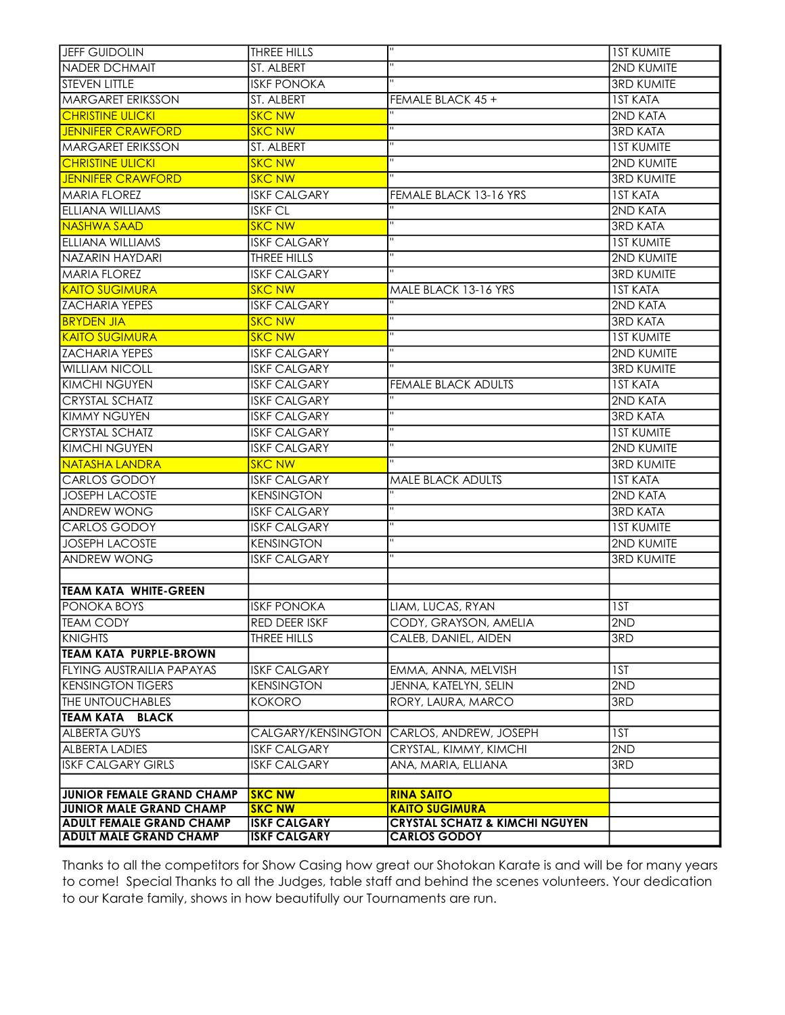| JEFF GUIDOLIN                    | THREE HILLS         | $\overline{\mathbf{u}}$                   | <b>IST KUMITE</b> |
|----------------------------------|---------------------|-------------------------------------------|-------------------|
| <b>NADER DCHMAIT</b>             | ST. ALBERT          |                                           | 2ND KUMITE        |
| <b>STEVEN LITTLE</b>             | <b>ISKF PONOKA</b>  |                                           | <b>3RD KUMITE</b> |
| <b>MARGARET ERIKSSON</b>         | ST. ALBERT          | FEMALE BLACK 45 +                         | <b>IST KATA</b>   |
| <b>CHRISTINE ULICKI</b>          | <b>SKC NW</b>       |                                           | 2ND KATA          |
| <b>JENNIFER CRAWFORD</b>         | <b>SKC NW</b>       | $\mathbf{H}$                              | <b>3RD KATA</b>   |
| <b>MARGARET ERIKSSON</b>         | ST. ALBERT          | $\mathbf{H}$                              | <b>IST KUMITE</b> |
| <b>CHRISTINE ULICKI</b>          | <b>SKC NW</b>       | $\mathbf H$                               | 2ND KUMITE        |
| <b>JENNIFER CRAWFORD</b>         | <b>SKC NW</b>       | п                                         | <b>3RD KUMITE</b> |
| <b>MARIA FLOREZ</b>              | <b>ISKF CALGARY</b> | FEMALE BLACK 13-16 YRS                    | <b>IST KATA</b>   |
| ELLIANA WILLIAMS                 | <b>ISKF CL</b>      | $\mathbf{H}$                              | 2ND KATA          |
| <b>NASHWA SAAD</b>               | <b>SKC NW</b>       | $\mathbf{H}$                              | <b>3RD KATA</b>   |
| ELLIANA WILLIAMS                 | <b>ISKF CALGARY</b> |                                           | <b>IST KUMITE</b> |
| NAZARIN HAYDARI                  | THREE HILLS         |                                           | 2ND KUMITE        |
| <b>MARIA FLOREZ</b>              | <b>ISKF CALGARY</b> |                                           | <b>3RD KUMITE</b> |
| <b>KAITO SUGIMURA</b>            | <b>SKC NW</b>       | MALE BLACK 13-16 YRS                      | <b>IST KATA</b>   |
| <b>ZACHARIA YEPES</b>            | <b>ISKF CALGARY</b> |                                           | 2ND KATA          |
| <b>BRYDEN JIA</b>                | <b>SKC NW</b>       | п                                         | <b>3RD KATA</b>   |
| <b>KAITO SUGIMURA</b>            | <b>SKC NW</b>       | $\mathbf{H}$                              | <b>IST KUMITE</b> |
| <b>ZACHARIA YEPES</b>            | <b>ISKF CALGARY</b> | $\mathbf{H}$                              | 2ND KUMITE        |
| <b>WILLIAM NICOLL</b>            | <b>ISKF CALGARY</b> |                                           | <b>3RD KUMITE</b> |
| <b>KIMCHI NGUYEN</b>             | <b>ISKF CALGARY</b> | <b>FEMALE BLACK ADULTS</b>                | <b>IST KATA</b>   |
| <b>CRYSTAL SCHATZ</b>            | <b>ISKF CALGARY</b> |                                           | 2ND KATA          |
| KIMMY NGUYEN                     | <b>ISKF CALGARY</b> | $\mathbf{H}$                              | <b>3RD KATA</b>   |
| <b>CRYSTAL SCHATZ</b>            | <b>ISKF CALGARY</b> | $\mathbf{H}$                              | <b>IST KUMITE</b> |
| <b>KIMCHI NGUYEN</b>             | <b>ISKF CALGARY</b> |                                           | <b>2ND KUMITE</b> |
| NATASHA LANDRA                   | <b>SKC NW</b>       | $\overline{11}$                           | <b>3RD KUMITE</b> |
| <b>CARLOS GODOY</b>              | <b>ISKF CALGARY</b> | <b>MALE BLACK ADULTS</b>                  | <b>IST KATA</b>   |
| <b>JOSEPH LACOSTE</b>            | <b>KENSINGTON</b>   | $\overline{1}$                            | 2ND KATA          |
| <b>ANDREW WONG</b>               | <b>ISKF CALGARY</b> |                                           | <b>3RD KATA</b>   |
| <b>CARLOS GODOY</b>              | <b>ISKF CALGARY</b> |                                           | <b>IST KUMITE</b> |
| <b>JOSEPH LACOSTE</b>            | <b>KENSINGTON</b>   |                                           | 2ND KUMITE        |
| ANDREW WONG                      | <b>ISKF CALGARY</b> |                                           | <b>3RD KUMITE</b> |
|                                  |                     |                                           |                   |
| <b>TEAM KATA WHITE-GREEN</b>     |                     |                                           |                   |
| <b>PONOKA BOYS</b>               | <b>ISKF PONOKA</b>  | LIAM, LUCAS, RYAN                         | 1ST               |
| TEAM CODY                        | RED DEER ISKF       | CODY, GRAYSON, AMELIA                     | 2ND               |
| <b>KNIGHTS</b>                   | THREE HILLS         | CALEB, DANIEL, AIDEN                      | 3RD               |
| <b>TEAM KATA PURPLE-BROWN</b>    |                     |                                           |                   |
| <b>FLYING AUSTRAILIA PAPAYAS</b> | <b>ISKF CALGARY</b> | EMMA, ANNA, MELVISH                       | 1ST               |
| <b>KENSINGTON TIGERS</b>         | <b>KENSINGTON</b>   | JENNA, KATELYN, SELIN                     | 2ND               |
| <b>THE UNTOUCHABLES</b>          | <b>KOKORO</b>       | RORY, LAURA, MARCO                        | 3RD               |
| ІТЕАМ КАТА<br><b>BLACK</b>       |                     |                                           |                   |
| <b>ALBERTA GUYS</b>              |                     | CALGARY/KENSINGTON CARLOS, ANDREW, JOSEPH | 1ST               |
| <b>ALBERTA LADIES</b>            | <b>ISKF CALGARY</b> | CRYSTAL, KIMMY, KIMCHI                    | 2ND               |
| <b>ISKF CALGARY GIRLS</b>        | <b>ISKF CALGARY</b> | ANA, MARIA, ELLIANA                       | 3RD               |
|                                  |                     |                                           |                   |
| <b>JUNIOR FEMALE GRAND CHAMP</b> | <b>SKC NW</b>       | <b>RINA SAITO</b>                         |                   |
| <b>JUNIOR MALE GRAND CHAMP</b>   | <b>SKC NW</b>       | <b>KAITO SUGIMURA</b>                     |                   |
| <b>ADULT FEMALE GRAND CHAMP</b>  | <b>ISKF CALGARY</b> | <b>CRYSTAL SCHATZ &amp; KIMCHI NGUYEN</b> |                   |
| <b>ADULT MALE GRAND CHAMP</b>    | <b>ISKF CALGARY</b> | <b>CARLOS GODOY</b>                       |                   |

Thanks to all the competitors for Show Casing how great our Shotokan Karate is and will be for many years to come! Special Thanks to all the Judges, table staff and behind the scenes volunteers. Your dedication to our Karate family, shows in how beautifully our Tournaments are run.